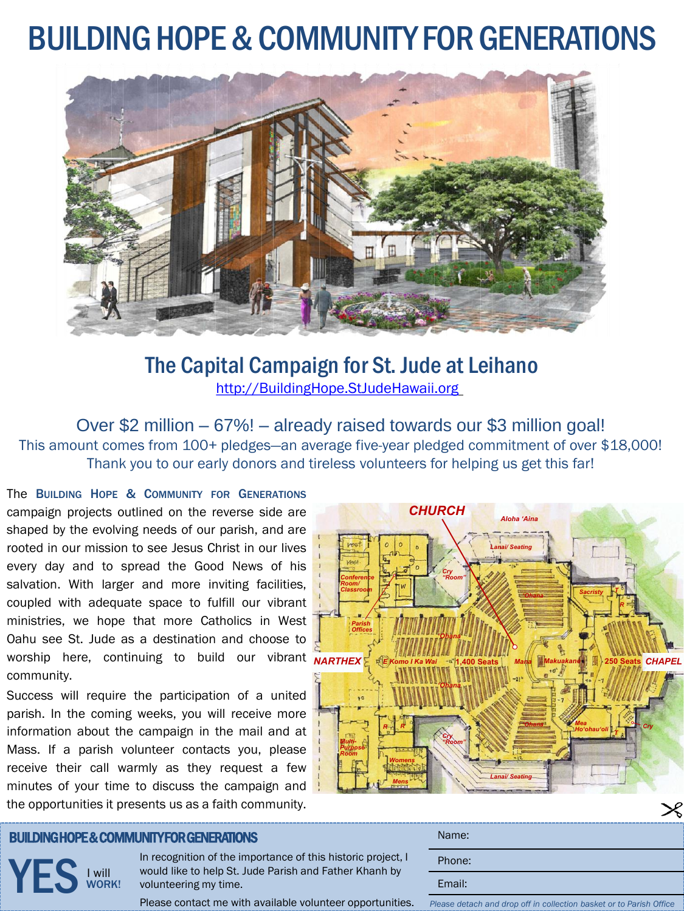#### BUILDING HOPE & COMMUNITY FOR GENERATIONS



The Capital Campaign for St. Jude at Leihano <http://BuildingHope.StJudeHawaii.org>

Over \$2 million – 67%! – already raised towards our \$3 million goal! This amount comes from 100+ pledges—an average five-year pledged commitment of over \$18,000! Thank you to our early donors and tireless volunteers for helping us get this far!

*NARTHEX NARTHEX NARTHEX* worship here, continuing to build our vibrant The BUILDING HOPE & COMMUNITY FOR GENERATIONS campaign projects outlined on the reverse side are shaped by the evolving needs of our parish, and are rooted in our mission to see Jesus Christ in our lives every day and to spread the Good News of his salvation. With larger and more inviting facilities, coupled with adequate space to fulfill our vibrant ministries, we hope that more Catholics in West Oahu see St. Jude as a destination and choose to community.

Success will require the participation of a united parish. In the coming weeks, you will receive more information about the campaign in the mail and at Mass. If a parish volunteer contacts you, please receive their call warmly as they request a few minutes of your time to discuss the campaign and the opportunities it presents us as a faith community.



#### BUILDING HOPE & COMMUNITY FOR GENERATIONS

YES **WOR** WORK!

In recognition of the importance of this historic project, I would like to help St. Jude Parish and Father Khanh by volunteering my time.

Please contact me with available volunteer opportunities.

| e of this historic project, I<br>ish and Father Khanh by | Name:  |
|----------------------------------------------------------|--------|
|                                                          | Phone: |
|                                                          | Email: |

*Please detach and drop off in collection basket or to Parish Office*